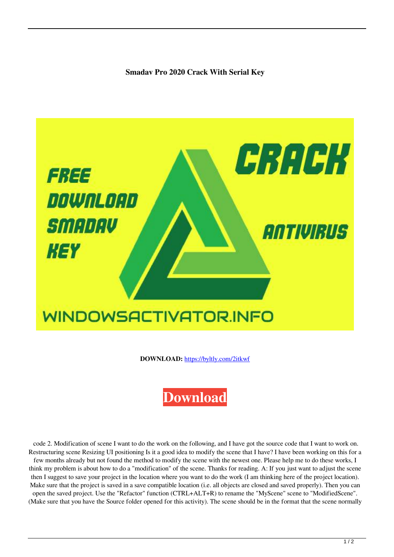**Smadav Pro 2020 Crack With Serial Key**



**DOWNLOAD:** <https://byltly.com/2itkwf>



 code 2. Modification of scene I want to do the work on the following, and I have got the source code that I want to work on. Restructuring scene Resizing UI positioning Is it a good idea to modify the scene that I have? I have been working on this for a few months already but not found the method to modify the scene with the newest one. Please help me to do these works, I think my problem is about how to do a "modification" of the scene. Thanks for reading. A: If you just want to adjust the scene then I suggest to save your project in the location where you want to do the work (I am thinking here of the project location). Make sure that the project is saved in a save compatible location (i.e. all objects are closed and saved properly). Then you can open the saved project. Use the "Refactor" function (CTRL+ALT+R) to rename the "MyScene" scene to "ModifiedScene". (Make sure that you have the Source folder opened for this activity). The scene should be in the format that the scene normally